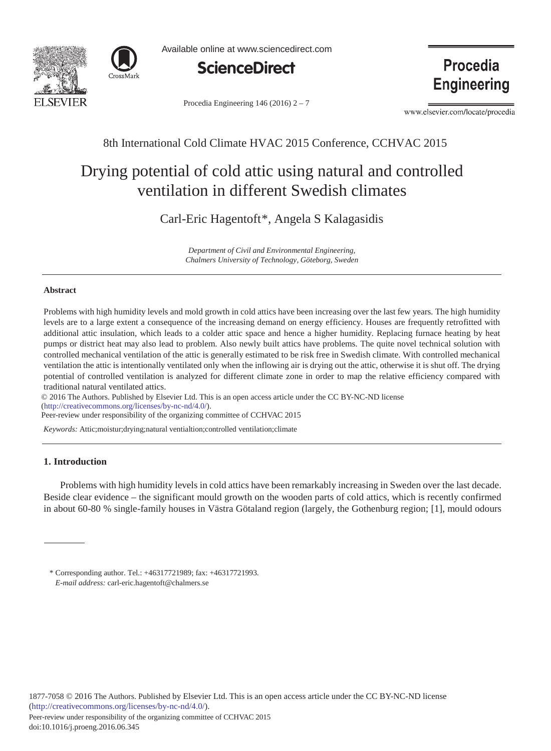



Available online at www.sciencedirect.com



Procedia Engineering 146 (2016)  $2 - 7$ 

Procedia **Engineering** 

www.elsevier.com/locate/procedia

# 8th International Cold Climate HVAC 2015 Conference, CCHVAC 2015

# Drying potential of cold attic using natural and controlled ventilation in different Swedish climates

Carl-Eric Hagentoft\*, Angela S Kalagasidis

*Department of Civil and Environmental Engineering, Chalmers University of Technology, Göteborg, Sweden*

#### **Abstract**

Problems with high humidity levels and mold growth in cold attics have been increasing over the last few years. The high humidity levels are to a large extent a consequence of the increasing demand on energy efficiency. Houses are frequently retrofitted with additional attic insulation, which leads to a colder attic space and hence a higher humidity. Replacing furnace heating by heat pumps or district heat may also lead to problem. Also newly built attics have problems. The quite novel technical solution with controlled mechanical ventilation of the attic is generally estimated to be risk free in Swedish climate. With controlled mechanical ventilation the attic is intentionally ventilated only when the inflowing air is drying out the attic, otherwise it is shut off. The drying potential of controlled ventilation is analyzed for different climate zone in order to map the relative efficiency compared with traditional natural ventilated attics.

© 2016 The Authors. Published by Elsevier Ltd. © 2016 The Authors. Published by Elsevier Ltd. This is an open access article under the CC BY-NC-ND license (http://creativecommons.org/licenses/by-nc-nd/4.0/).

Peer-review under responsibility of the organizing committee of CCHVAC 2015

*Keywords:* Attic;moistur;drying;natural ventialtion;controlled ventilation;climate

## **1. Introduction**

Problems with high humidity levels in cold attics have been remarkably increasing in Sweden over the last decade. Beside clear evidence – the significant mould growth on the wooden parts of cold attics, which is recently confirmed in about 60-80 % single-family houses in Västra Götaland region (largely, the Gothenburg region; [1], mould odours

<sup>\*</sup> Corresponding author. Tel.: +46317721989; fax: +46317721993. *E-mail address:* carl-eric.hagentoft@chalmers.se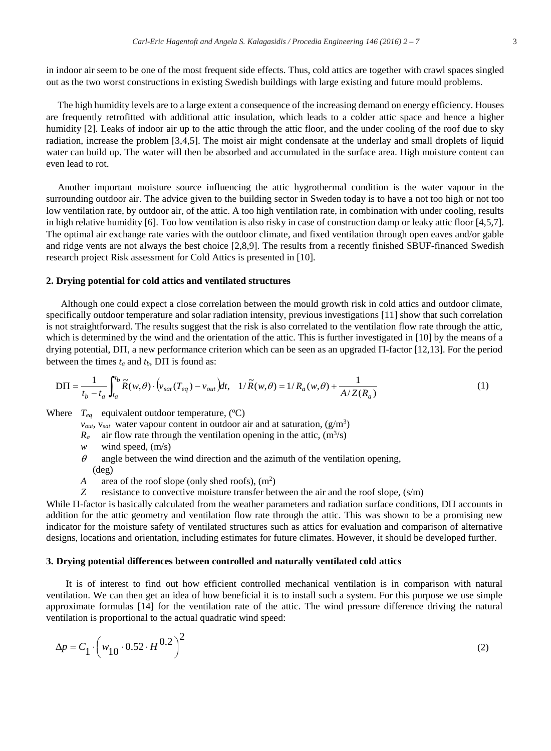in indoor air seem to be one of the most frequent side effects. Thus, cold attics are together with crawl spaces singled out as the two worst constructions in existing Swedish buildings with large existing and future mould problems.

The high humidity levels are to a large extent a consequence of the increasing demand on energy efficiency. Houses are frequently retrofitted with additional attic insulation, which leads to a colder attic space and hence a higher humidity [2]. Leaks of indoor air up to the attic through the attic floor, and the under cooling of the roof due to sky radiation, increase the problem [3,4,5]. The moist air might condensate at the underlay and small droplets of liquid water can build up. The water will then be absorbed and accumulated in the surface area. High moisture content can even lead to rot.

Another important moisture source influencing the attic hygrothermal condition is the water vapour in the surrounding outdoor air. The advice given to the building sector in Sweden today is to have a not too high or not too low ventilation rate, by outdoor air, of the attic. A too high ventilation rate, in combination with under cooling, results in high relative humidity [6]. Too low ventilation is also risky in case of construction damp or leaky attic floor [4,5,7]. The optimal air exchange rate varies with the outdoor climate, and fixed ventilation through open eaves and/or gable and ridge vents are not always the best choice [2,8,9]. The results from a recently finished SBUF-financed Swedish research project Risk assessment for Cold Attics is presented in [10].

### **2. Drying potential for cold attics and ventilated structures**

Although one could expect a close correlation between the mould growth risk in cold attics and outdoor climate, specifically outdoor temperature and solar radiation intensity, previous investigations [11] show that such correlation is not straightforward. The results suggest that the risk is also correlated to the ventilation flow rate through the attic, which is determined by the wind and the orientation of the attic. This is further investigated in [10] by the means of a drying potential, D $\Pi$ , a new performance criterion which can be seen as an upgraded  $\Pi$ -factor [12,13]. For the period between the times  $t_a$  and  $t_b$ , D $\Pi$  is found as:

$$
DT = \frac{1}{t_b - t_a} \int_{t_a}^{t_b} \widetilde{R}(w, \theta) \cdot (v_{sat}(T_{eq}) - v_{out}) dt, \quad 1/\widetilde{R}(w, \theta) = 1/R_a(w, \theta) + \frac{1}{A/Z(R_a)}
$$
(1)

Where  $T_{eq}$  equivalent outdoor temperature,  $({}^{o}C)$ 

 $v_{out}$ ,  $v_{sat}$  water vapour content in outdoor air and at saturation,  $(g/m<sup>3</sup>)$ 

 $R_a$  air flow rate through the ventilation opening in the attic,  $(m^3/s)$ 

- *w* wind speed, (m/s)
- $\theta$  angle between the wind direction and the azimuth of the ventilation opening, (deg)
- *A* area of the roof slope (only shed roofs),  $(m^2)$
- *Z* resistance to convective moisture transfer between the air and the roof slope,  $(s/m)$

While  $\Pi$ -factor is basically calculated from the weather parameters and radiation surface conditions, D $\Pi$  accounts in addition for the attic geometry and ventilation flow rate through the attic. This was shown to be a promising new indicator for the moisture safety of ventilated structures such as attics for evaluation and comparison of alternative designs, locations and orientation, including estimates for future climates. However, it should be developed further.

#### **3. Drying potential differences between controlled and naturally ventilated cold attics**

It is of interest to find out how efficient controlled mechanical ventilation is in comparison with natural ventilation. We can then get an idea of how beneficial it is to install such a system. For this purpose we use simple approximate formulas [14] for the ventilation rate of the attic. The wind pressure difference driving the natural ventilation is proportional to the actual quadratic wind speed:

$$
\Delta p = C_1 \cdot \left( w_{10} \cdot 0.52 \cdot H^{0.2} \right)^2 \tag{2}
$$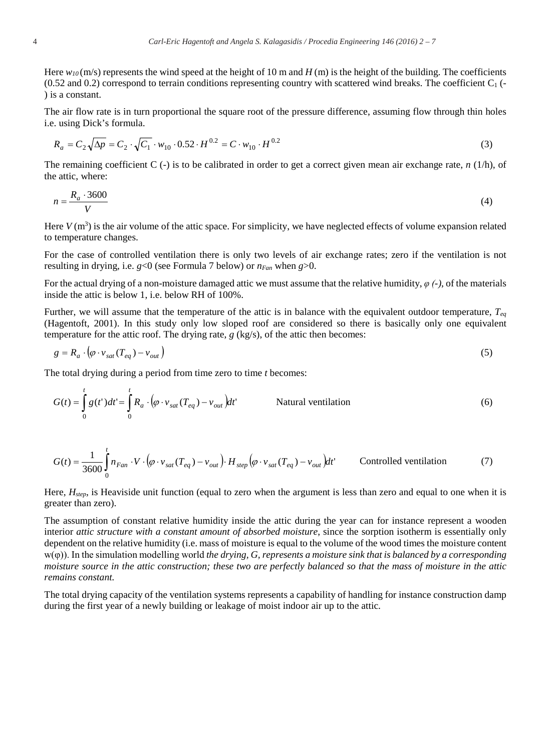Here  $w_{10}$  (m/s) represents the wind speed at the height of 10 m and *H* (m) is the height of the building. The coefficients  $(0.52 \text{ and } 0.2)$  correspond to terrain conditions representing country with scattered wind breaks. The coefficient  $C_1$  (-) is a constant.

The air flow rate is in turn proportional the square root of the pressure difference, assuming flow through thin holes i.e. using Dick's formula.

$$
R_a = C_2 \sqrt{\Delta p} = C_2 \cdot \sqrt{C_1} \cdot w_{10} \cdot 0.52 \cdot H^{0.2} = C \cdot w_{10} \cdot H^{0.2}
$$
 (3)

The remaining coefficient C (-) is to be calibrated in order to get a correct given mean air exchange rate, *n* (1/h), of the attic, where:

$$
n = \frac{R_a \cdot 3600}{V} \tag{4}
$$

Here  $V(m^3)$  is the air volume of the attic space. For simplicity, we have neglected effects of volume expansion related to temperature changes.

For the case of controlled ventilation there is only two levels of air exchange rates; zero if the ventilation is not resulting in drying, i.e.  $g<0$  (see Formula 7 below) or  $n_{Fan}$  when  $g>0$ .

For the actual drying of a non-moisture damaged attic we must assume that the relative humidity,  $\varphi$  (-), of the materials inside the attic is below 1, i.e. below RH of 100%.

Further, we will assume that the temperature of the attic is in balance with the equivalent outdoor temperature, *Teq* (Hagentoft, 2001). In this study only low sloped roof are considered so there is basically only one equivalent temperature for the attic roof. The drying rate, *g* (kg/s), of the attic then becomes:

$$
g = R_a \cdot (\varphi \cdot v_{sat}(T_{eq}) - v_{out})
$$
\n<sup>(5)</sup>

The total drying during a period from time zero to time *t* becomes:

$$
G(t) = \int_{0}^{t} g(t')dt' = \int_{0}^{t} R_a \cdot (\varphi \cdot v_{sat}(T_{eq}) - v_{out})dt'
$$
 Natural ventilation (6)

$$
G(t) = \frac{1}{3600} \int_{0}^{t} n_{Fan} \cdot V \cdot (\varphi \cdot v_{sat}(T_{eq}) - v_{out}) \cdot H_{step} (\varphi \cdot v_{sat}(T_{eq}) - v_{out}) dt' \qquad \text{Controlled ventilation} \tag{7}
$$

Here,  $H_{step}$ , is Heaviside unit function (equal to zero when the argument is less than zero and equal to one when it is greater than zero).

The assumption of constant relative humidity inside the attic during the year can for instance represent a wooden interior *attic structure with a constant amount of absorbed moisture*, since the sorption isotherm is essentially only dependent on the relative humidity (i.e. mass of moisture is equal to the volume of the wood times the moisture content  $w(\varphi)$ ). In the simulation modelling world *the drying, G, represents a moisture sink that is balanced by a corresponding moisture source in the attic construction; these two are perfectly balanced so that the mass of moisture in the attic remains constant.*

The total drying capacity of the ventilation systems represents a capability of handling for instance construction damp during the first year of a newly building or leakage of moist indoor air up to the attic.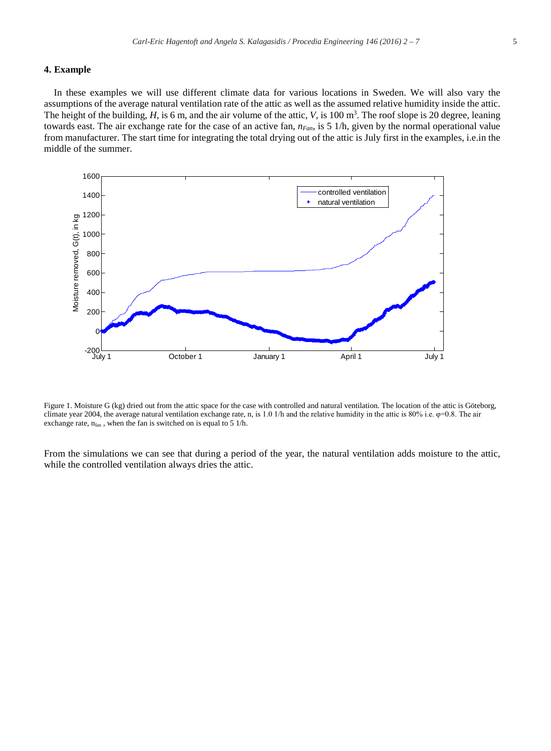#### **4. Example**

In these examples we will use different climate data for various locations in Sweden. We will also vary the assumptions of the average natural ventilation rate of the attic as well as the assumed relative humidity inside the attic. The height of the building,  $H$ , is 6 m, and the air volume of the attic,  $V$ , is 100 m<sup>3</sup>. The roof slope is 20 degree, leaning towards east. The air exchange rate for the case of an active fan, *nFan*, is 5 1/h, given by the normal operational value from manufacturer. The start time for integrating the total drying out of the attic is July first in the examples, i.e.in the middle of the summer.



Figure 1. Moisture G (kg) dried out from the attic space for the case with controlled and natural ventilation. The location of the attic is Göteborg, climate year 2004, the average natural ventilation exchange rate, n, is 1.0 1/h and the relative humidity in the attic is  $80\%$  i.e.  $\varphi$ =0.8. The air exchange rate,  $n<sub>fan</sub>$ , when the fan is switched on is equal to 5 1/h.

From the simulations we can see that during a period of the year, the natural ventilation adds moisture to the attic, while the controlled ventilation always dries the attic.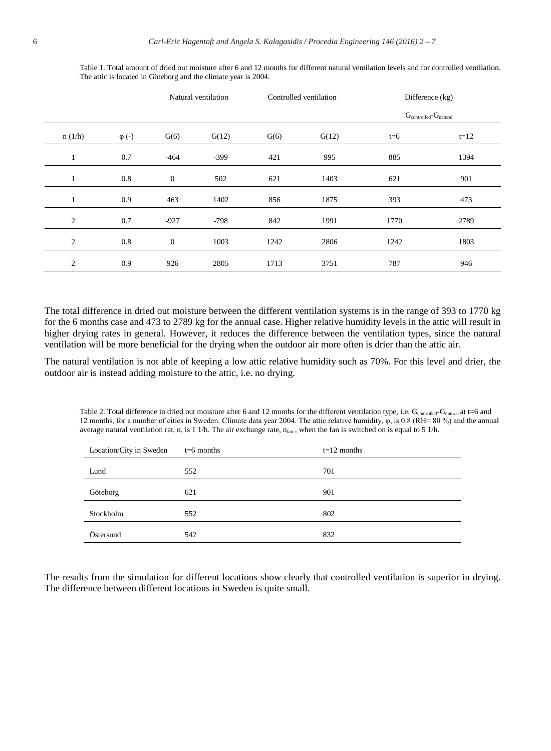|              |               | Natural ventilation |        | Controlled ventilation |       | Difference (kg)                            |        |
|--------------|---------------|---------------------|--------|------------------------|-------|--------------------------------------------|--------|
|              |               |                     |        |                        |       | $G_{\text{controlled}}-G_{\text{natural}}$ |        |
| n(1/h)       | $\varphi$ (-) | G(6)                | G(12)  | G(6)                   | G(12) | $t=6$                                      | $t=12$ |
| 1            | 0.7           | $-464$              | $-399$ | 421                    | 995   | 885                                        | 1394   |
| 1            | 0.8           | $\mathbf{0}$        | 502    | 621                    | 1403  | 621                                        | 901    |
| $\mathbf{I}$ | 0.9           | 463                 | 1402   | 856                    | 1875  | 393                                        | 473    |
| 2            | 0.7           | $-927$              | $-798$ | 842                    | 1991  | 1770                                       | 2789   |
| 2            | 0.8           | $\mathbf{0}$        | 1003   | 1242                   | 2806  | 1242                                       | 1803   |
| 2            | 0.9           | 926                 | 2805   | 1713                   | 3751  | 787                                        | 946    |

Table 1. Total amount of dried out moisture after 6 and 12 months for different natural ventilation levels and for controlled ventilation. The attic is located in Göteborg and the climate year is 2004.

The total difference in dried out moisture between the different ventilation systems is in the range of 393 to 1770 kg for the 6 months case and 473 to 2789 kg for the annual case. Higher relative humidity levels in the attic will result in higher drying rates in general. However, it reduces the difference between the ventilation types, since the natural ventilation will be more beneficial for the drying when the outdoor air more often is drier than the attic air.

The natural ventilation is not able of keeping a low attic relative humidity such as 70%. For this level and drier, the outdoor air is instead adding moisture to the attic, i.e. no drying.

Table 2. Total difference in dried out moisture after 6 and 12 months for the different ventilation type, i.e. Gcontrolled-Gnatural at t=6 and 12 months, for a number of cities in Sweden. Climate data year 2004. The attic relative humidity,  $\varphi$ , is 0.8 (RH= 80 %) and the annual average natural ventilation rat, n, is 1 1/h. The air exchange rate,  $n_{fan}$ , when the fan is switched on is equal to 5 1/h.

| Location/City in Sweden | $t=6$ months | $t=12$ months |  |
|-------------------------|--------------|---------------|--|
| Lund                    | 552          | 701           |  |
| Göteborg                | 621          | 901           |  |
| Stockholm               | 552          | 802           |  |
| Östersund               | 542          | 832           |  |

The results from the simulation for different locations show clearly that controlled ventilation is superior in drying. The difference between different locations in Sweden is quite small.